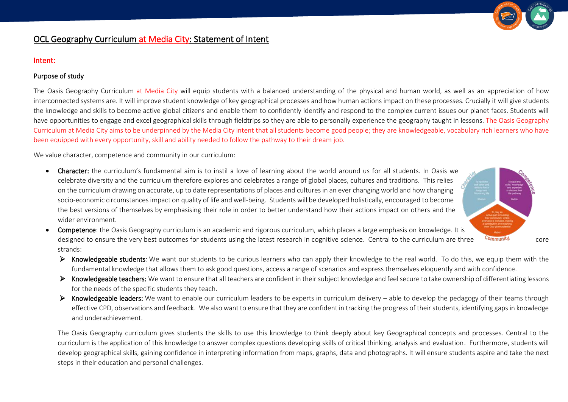

# OCL Geography Curriculum at Media City: Statement of Intent

#### Intent:

### Purpose of study

The Oasis Geography Curriculum at Media City will equip students with a balanced understanding of the physical and human world, as well as an appreciation of how interconnected systems are. It will improve student knowledge of key geographical processes and how human actions impact on these processes. Crucially it will give students the knowledge and skills to become active global citizens and enable them to confidently identify and respond to the complex current issues our planet faces. Students will have opportunities to engage and excel geographical skills through fieldtrips so they are able to personally experience the geography taught in lessons. The Oasis Geography Curriculum at Media City aims to be underpinned by the Media City intent that all students become good people; they are knowledgeable, vocabulary rich learners who have been equipped with every opportunity, skill and ability needed to follow the pathway to their dream job.

We value character, competence and community in our curriculum:

• Character: the curriculum's fundamental aim is to instil a love of learning about the world around us for all students. In Oasis we celebrate diversity and the curriculum therefore explores and celebrates a range of global places, cultures and traditions. This relies on the curriculum drawing on accurate, up to date representations of places and cultures in an ever changing world and how changing socio-economic circumstances impact on quality of life and well-being. Students will be developed holistically, encouraged to become the best versions of themselves by emphasising their role in order to better understand how their actions impact on others and the wider environment.



- Competence: the Oasis Geography curriculum is an academic and rigorous curriculum, which places a large emphasis on knowledge. It is designed to ensure the very best outcomes for students using the latest research in cognitive science. Central to the curriculum are three community core strands:
	- ➢ Knowledgeable students: We want our students to be curious learners who can apply their knowledge to the real world. To do this, we equip them with the fundamental knowledge that allows them to ask good questions, access a range of scenarios and express themselves eloquently and with confidence.
	- ➢ Knowledgeable teachers: We want to ensure that all teachers are confident in their subject knowledge and feel secure to take ownership of differentiating lessons for the needs of the specific students they teach.
	- ▶ Knowledgeable leaders: We want to enable our curriculum leaders to be experts in curriculum delivery able to develop the pedagogy of their teams through effective CPD, observations and feedback. We also want to ensure that they are confident in tracking the progress of their students, identifying gaps in knowledge and underachievement.

The Oasis Geography curriculum gives students the skills to use this knowledge to think deeply about key Geographical concepts and processes. Central to the curriculum is the application of this knowledge to answer complex questions developing skills of critical thinking, analysis and evaluation. Furthermore, students will develop geographical skills, gaining confidence in interpreting information from maps, graphs, data and photographs. It will ensure students aspire and take the next steps in their education and personal challenges.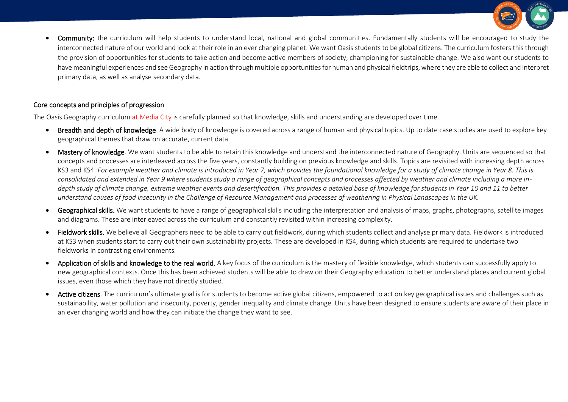

Community: the curriculum will help students to understand local, national and global communities. Fundamentally students will be encouraged to study the interconnected nature of our world and look at their role in an ever changing planet. We want Oasis students to be global citizens. The curriculum fosters this through the provision of opportunities for students to take action and become active members of society, championing for sustainable change. We also want our students to have meaningful experiences and see Geography in action through multiple opportunities for human and physical fieldtrips, where they are able to collect and interpret primary data, as well as analyse secondary data.

#### Core concepts and principles of progression

The Oasis Geography curriculum at Media City is carefully planned so that knowledge, skills and understanding are developed over time.

- Breadth and depth of knowledge. A wide body of knowledge is covered across a range of human and physical topics. Up to date case studies are used to explore key geographical themes that draw on accurate, current data.
- Mastery of knowledge. We want students to be able to retain this knowledge and understand the interconnected nature of Geography. Units are sequenced so that concepts and processes are interleaved across the five years, constantly building on previous knowledge and skills. Topics are revisited with increasing depth across KS3 and KS4. *For example weather and climate is introduced in Year 7, which provides the foundational knowledge for a study of climate change in Year 8. This is consolidated and extended in Year 9 where students study a range of geographical concepts and processes affected by weather and climate including a more indepth study of climate change, extreme weather events and desertification. This provides a detailed base of knowledge for students in Year 10 and 11 to better understand causes of food insecurity in the Challenge of Resource Management and processes of weathering in Physical Landscapes in the UK.*
- Geographical skills. We want students to have a range of geographical skills including the interpretation and analysis of maps, graphs, photographs, satellite images and diagrams. These are interleaved across the curriculum and constantly revisited within increasing complexity.
- Fieldwork skills. We believe all Geographers need to be able to carry out fieldwork, during which students collect and analyse primary data. Fieldwork is introduced at KS3 when students start to carry out their own sustainability projects. These are developed in KS4, during which students are required to undertake two fieldworks in contrasting environments.
- Application of skills and knowledge to the real world. A key focus of the curriculum is the mastery of flexible knowledge, which students can successfully apply to new geographical contexts. Once this has been achieved students will be able to draw on their Geography education to better understand places and current global issues, even those which they have not directly studied.
- Active citizens. The curriculum's ultimate goal is for students to become active global citizens, empowered to act on key geographical issues and challenges such as sustainability, water pollution and insecurity, poverty, gender inequality and climate change. Units have been designed to ensure students are aware of their place in an ever changing world and how they can initiate the change they want to see.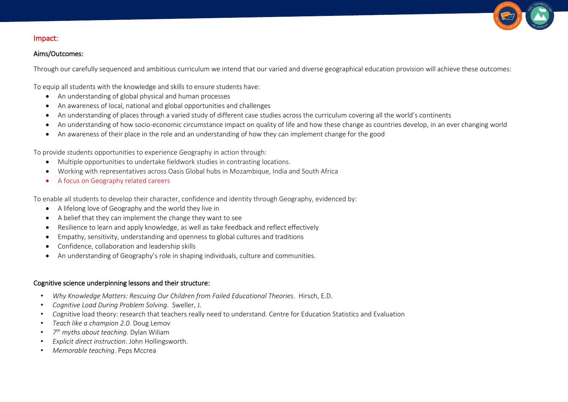

# Impact:

# Aims/Outcomes:

Through our carefully sequenced and ambitious curriculum we intend that our varied and diverse geographical education provision will achieve these outcomes:

To equip all students with the knowledge and skills to ensure students have:

- An understanding of global physical and human processes
- An awareness of local, national and global opportunities and challenges
- An understanding of places through a varied study of different case studies across the curriculum covering all the world's continents
- An understanding of how socio-economic circumstance impact on quality of life and how these change as countries develop, in an ever changing world
- An awareness of their place in the role and an understanding of how they can implement change for the good

To provide students opportunities to experience Geography in action through:

- Multiple opportunities to undertake fieldwork studies in contrasting locations.
- Working with representatives across Oasis Global hubs in Mozambique, India and South Africa
- A focus on Geography related careers

To enable all students to develop their character, confidence and identity through Geography, evidenced by:

- A lifelong love of Geography and the world they live in
- A belief that they can implement the change they want to see
- Resilience to learn and apply knowledge, as well as take feedback and reflect effectively
- Empathy, sensitivity, understanding and openness to global cultures and traditions
- Confidence, collaboration and leadership skills
- An understanding of Geography's role in shaping individuals, culture and communities.

# Cognitive science underpinning lessons and their structure:

- *Why Knowledge Matters: Rescuing Our Children from Failed Educational Theories*. Hirsch, E.D.
- *Cognitive Load During Problem Solving*. Sweller, J.
- *Co*gnitive load theory: research that teachers really need to understand. Centre for Education Statistics and Evaluation
- *Teach like a champion 2.0.* Doug Lemov
- *7 th myths about teaching*. Dylan Wiliam
- *Explicit direct instruction*. John Hollingsworth.
- *Memorable teaching*. Peps Mccrea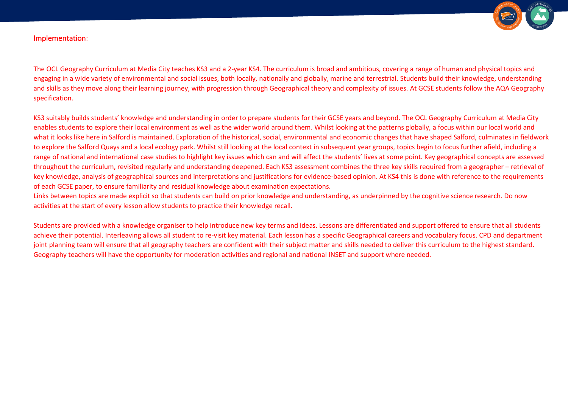

# Implementation:

The OCL Geography Curriculum at Media City teaches KS3 and a 2-year KS4. The curriculum is broad and ambitious, covering a range of human and physical topics and engaging in a wide variety of environmental and social issues, both locally, nationally and globally, marine and terrestrial. Students build their knowledge, understanding and skills as they move along their learning journey, with progression through Geographical theory and complexity of issues. At GCSE students follow the AQA Geography specification.

KS3 suitably builds students' knowledge and understanding in order to prepare students for their GCSE years and beyond. The OCL Geography Curriculum at Media City enables students to explore their local environment as well as the wider world around them. Whilst looking at the patterns globally, a focus within our local world and what it looks like here in Salford is maintained. Exploration of the historical, social, environmental and economic changes that have shaped Salford, culminates in fieldwork to explore the Salford Quays and a local ecology park. Whilst still looking at the local context in subsequent year groups, topics begin to focus further afield, including a range of national and international case studies to highlight key issues which can and will affect the students' lives at some point. Key geographical concepts are assessed throughout the curriculum, revisited regularly and understanding deepened. Each KS3 assessment combines the three key skills required from a geographer – retrieval of key knowledge, analysis of geographical sources and interpretations and justifications for evidence-based opinion. At KS4 this is done with reference to the requirements of each GCSE paper, to ensure familiarity and residual knowledge about examination expectations.

Links between topics are made explicit so that students can build on prior knowledge and understanding, as underpinned by the cognitive science research. Do now activities at the start of every lesson allow students to practice their knowledge recall.

Students are provided with a knowledge organiser to help introduce new key terms and ideas. Lessons are differentiated and support offered to ensure that all students achieve their potential. Interleaving allows all student to re-visit key material. Each lesson has a specific Geographical careers and vocabulary focus. CPD and department joint planning team will ensure that all geography teachers are confident with their subject matter and skills needed to deliver this curriculum to the highest standard. Geography teachers will have the opportunity for moderation activities and regional and national INSET and support where needed.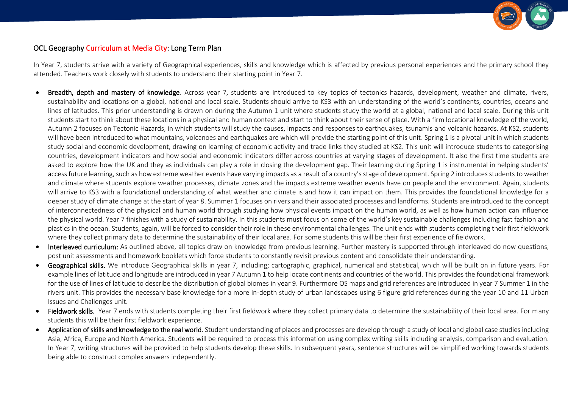

# OCL Geography Curriculum at Media City: Long Term Plan

In Year 7, students arrive with a variety of Geographical experiences, skills and knowledge which is affected by previous personal experiences and the primary school they attended. Teachers work closely with students to understand their starting point in Year 7.

- Breadth, depth and mastery of knowledge. Across year 7, students are introduced to key topics of tectonics hazards, development, weather and climate, rivers, sustainability and locations on a global, national and local scale. Students should arrive to KS3 with an understanding of the world's continents, countries, oceans and lines of latitudes. This prior understanding is drawn on during the Autumn 1 unit where students study the world at a global, national and local scale. During this unit students start to think about these locations in a physical and human context and start to think about their sense of place. With a firm locational knowledge of the world, Autumn 2 focuses on Tectonic Hazards, in which students will study the causes, impacts and responses to earthquakes, tsunamis and volcanic hazards. At KS2, students will have been introduced to what mountains, volcanoes and earthquakes are which will provide the starting point of this unit. Spring 1 is a pivotal unit in which students study social and economic development, drawing on learning of economic activity and trade links they studied at KS2. This unit will introduce students to categorising countries, development indicators and how social and economic indicators differ across countries at varying stages of development. It also the first time students are asked to explore how the UK and they as individuals can play a role in closing the development gap. Their learning during Spring 1 is instrumental in helping students' access future learning, such as how extreme weather events have varying impacts as a result of a country's stage of development. Spring 2 introduces students to weather and climate where students explore weather processes, climate zones and the impacts extreme weather events have on people and the environment. Again, students will arrive to KS3 with a foundational understanding of what weather and climate is and how it can impact on them. This provides the foundational knowledge for a deeper study of climate change at the start of year 8. Summer 1 focuses on rivers and their associated processes and landforms. Students are introduced to the concept of interconnectedness of the physical and human world through studying how physical events impact on the human world, as well as how human action can influence the physical world. Year 7 finishes with a study of sustainability. In this students must focus on some of the world's key sustainable challenges including fast fashion and plastics in the ocean. Students, again, will be forced to consider their role in these environmental challenges. The unit ends with students completing their first fieldwork where they collect primary data to determine the sustainability of their local area. For some students this will be their first experience of fieldwork.
- Interleaved curriculum: As outlined above, all topics draw on knowledge from previous learning. Further mastery is supported through interleaved do now questions, post unit assessments and homework booklets which force students to constantly revisit previous content and consolidate their understanding.
- Geographical skills. We introduce Geographical skills in year 7, including; cartographic, graphical, numerical and statistical, which will be built on in future years. For example lines of latitude and longitude are introduced in year 7 Autumn 1 to help locate continents and countries of the world. This provides the foundational framework for the use of lines of latitude to describe the distribution of global biomes in year 9. Furthermore OS maps and grid references are introduced in year 7 Summer 1 in the rivers unit. This provides the necessary base knowledge for a more in-depth study of urban landscapes using 6 figure grid references during the year 10 and 11 Urban Issues and Challenges unit.
- Fieldwork skills. Year 7 ends with students completing their first fieldwork where they collect primary data to determine the sustainability of their local area. For many students this will be their first fieldwork experience.
- Application of skills and knowledge to the real world. Student understanding of places and processes are develop through a study of local and global case studies including Asia, Africa, Europe and North America. Students will be required to process this information using complex writing skills including analysis, comparison and evaluation. In Year 7, writing structures will be provided to help students develop these skills. In subsequent years, sentence structures will be simplified working towards students being able to construct complex answers independently.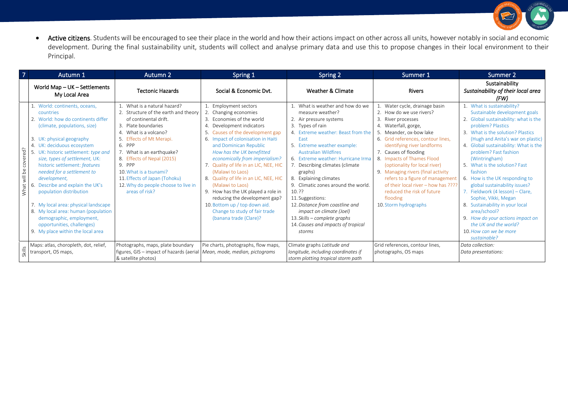

• Active citizens. Students will be encouraged to see their place in the world and how their actions impact on other across all units, however notably in social and economic development. During the final sustainability unit, students will collect and analyse primary data and use this to propose changes in their local environment to their Principal.

| 7                        | Autumn 1                                                                                                                                                                                                                                                                                                                                                                                                                                                                                                                                                                          | Autumn 2                                                                                                                                                                                                                                                                                                                                                                    | Spring 1                                                                                                                                                                                                                                                                                                                                                                                                                                                                                                                                                                   | Spring 2                                                                                                                                                                                                                                                                                                                                                                                                                                                                                                                                         | Summer 1                                                                                                                                                                                                                                                                                                                                                                                                                                                                             | Summer 2                                                                                                                                                                                                                                                                                                                                                                                                                                                                                                                                                                                                                    |
|--------------------------|-----------------------------------------------------------------------------------------------------------------------------------------------------------------------------------------------------------------------------------------------------------------------------------------------------------------------------------------------------------------------------------------------------------------------------------------------------------------------------------------------------------------------------------------------------------------------------------|-----------------------------------------------------------------------------------------------------------------------------------------------------------------------------------------------------------------------------------------------------------------------------------------------------------------------------------------------------------------------------|----------------------------------------------------------------------------------------------------------------------------------------------------------------------------------------------------------------------------------------------------------------------------------------------------------------------------------------------------------------------------------------------------------------------------------------------------------------------------------------------------------------------------------------------------------------------------|--------------------------------------------------------------------------------------------------------------------------------------------------------------------------------------------------------------------------------------------------------------------------------------------------------------------------------------------------------------------------------------------------------------------------------------------------------------------------------------------------------------------------------------------------|--------------------------------------------------------------------------------------------------------------------------------------------------------------------------------------------------------------------------------------------------------------------------------------------------------------------------------------------------------------------------------------------------------------------------------------------------------------------------------------|-----------------------------------------------------------------------------------------------------------------------------------------------------------------------------------------------------------------------------------------------------------------------------------------------------------------------------------------------------------------------------------------------------------------------------------------------------------------------------------------------------------------------------------------------------------------------------------------------------------------------------|
|                          | World Map - UK - Settlements<br>My Local Area                                                                                                                                                                                                                                                                                                                                                                                                                                                                                                                                     | <b>Tectonic Hazards</b>                                                                                                                                                                                                                                                                                                                                                     | Social & Economic Dvt.                                                                                                                                                                                                                                                                                                                                                                                                                                                                                                                                                     | Weather & Climate                                                                                                                                                                                                                                                                                                                                                                                                                                                                                                                                | <b>Rivers</b>                                                                                                                                                                                                                                                                                                                                                                                                                                                                        | Sustainability<br>Sustainability of their local area<br>(FW)                                                                                                                                                                                                                                                                                                                                                                                                                                                                                                                                                                |
| covered?<br>What will be | 1. World: continents, oceans,<br>countries<br>2. World: how do continents differ<br>(climate, populations, size)<br>3. UK: physical geography<br>4. UK: deciduous ecosystem<br>UK: historic settlement: type and<br>size, types of settlement, UK:<br>historic settlement: features<br>needed for a settlement to<br>development,<br>Describe and explain the UK's<br>6.<br>population distribution<br>7. My local area: physical landscape<br>8. My local area: human (population<br>demographic, employment,<br>opportunities, challenges)<br>9. My place within the local area | What is a natural hazard?<br>2. Structure of the earth and theory<br>of continental drift.<br>3. Plate boundaries<br>4. What is a volcano?<br>5. Effects of Mt Merapi.<br>6. PPP<br>7. What is an earthquake?<br>8. Effects of Nepal (2015)<br>$9.$ PPP<br>10. What is a tsunami?<br>11. Effects of Japan (Tohoku)<br>12. Why do people choose to live in<br>areas of risk? | 1. Employment sectors<br>2. Changing economies<br>3. Economies of the world<br>4. Development indicators<br>5. Causes of the development gap<br>6. Impact of colonisation in Haiti<br>and Dominican Republic<br>How has the UK benefitted<br>economically from imperialism?<br>7. Quality of life in an LIC, NEE, HIC<br>(Malawi to Laos)<br>8. Quality of life in an LIC, NEE, HIC<br>(Malawi to Laos)<br>9. How has the UK played a role in<br>reducing the development gap?<br>10. Bottom up / top down aid.<br>Change to study of fair trade<br>(banana trade (Clare)? | 1. What is weather and how do we<br>measure weather?<br>2. Air pressure systems<br>3. Types of rain<br>4. Extreme weather: Beast from the<br>Fast<br>5. Extreme weather example:<br><b>Australian Wildfires</b><br>6. Extreme weather: Hurricane Irma<br>7. Describing climates (climate<br>graphs)<br>8. Explaining climates<br>9. Climatic zones around the world.<br>10.22<br>11. Suggestions:<br>12. Distance from coastline and<br>impact on climate (Joel)<br>13. Skills – complete graphs<br>14. Causes and impacts of tropical<br>storms | 1. Water cycle, drainage basin<br>2. How do we use rivers?<br>3. River processes<br>4. Waterfall, gorge,<br>5. Meander, ox-bow lake<br>6. Grid references, contour lines,<br>identifying river landforms<br>7. Causes of flooding<br>8. Impacts of Thames Flood<br>(optionality for local river)<br>9. Managing rivers (final activity<br>refers to a figure of management<br>of their local river - how has ????<br>reduced the risk of future<br>flooding<br>10. Storm hydrographs | 1. What is sustainability?<br>Sustainable development goals<br>2. Global sustainability: what is the<br>problem? Plastics<br>3. What is the solution? Plastics<br>(Hugh and Anita's war on plastic)<br>4. Global sustainability: What is the<br>problem? Fast fashion<br>(Wintringham)<br>5. What is the solution? Fast<br>fashion<br>6. How is the UK responding to<br>global sustainability issues?<br>7. Fieldwork (4 lesson) - Clare,<br>Sophie, Vikki, Megan<br>8. Sustainability in your local<br>area/school?<br>9. How do your actions impact on<br>the UK and the world?<br>10. How can we be more<br>sustainable? |
| Skills                   | Maps: atlas, choropleth, dot, relief,<br>transport, OS maps,                                                                                                                                                                                                                                                                                                                                                                                                                                                                                                                      | Photographs, maps, plate boundary<br>figures, GIS - impact of hazards (aerial Mean, mode, median, pictograms<br>& satellite photos)                                                                                                                                                                                                                                         | Pie charts, photographs, flow maps,                                                                                                                                                                                                                                                                                                                                                                                                                                                                                                                                        | Climate graphs Latitude and<br>longitude, including coordinates if<br>storm plotting tropical storm path                                                                                                                                                                                                                                                                                                                                                                                                                                         | Grid references, contour lines,<br>photographs, OS maps                                                                                                                                                                                                                                                                                                                                                                                                                              | Data collection:<br>Data presentations:                                                                                                                                                                                                                                                                                                                                                                                                                                                                                                                                                                                     |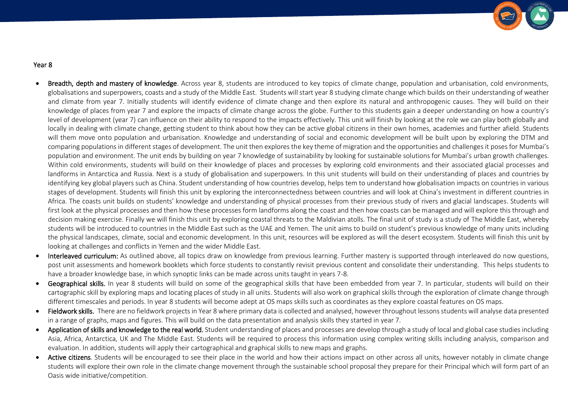

- Breadth, depth and mastery of knowledge. Across year 8, students are introduced to key topics of climate change, population and urbanisation, cold environments, globalisations and superpowers, coasts and a study of the Middle East. Students will start year 8 studying climate change which builds on their understanding of weather and climate from year 7. Initially students will identify evidence of climate change and then explore its natural and anthropogenic causes. They will build on their knowledge of places from year 7 and explore the impacts of climate change across the globe. Further to this students gain a deeper understanding on how a country's level of development (year 7) can influence on their ability to respond to the impacts effectively. This unit will finish by looking at the role we can play both globally and locally in dealing with climate change, getting student to think about how they can be active global citizens in their own homes, academies and further afield. Students will them move onto population and urbanisation. Knowledge and understanding of social and economic development will be built upon by exploring the DTM and comparing populations in different stages of development. The unit then explores the key theme of migration and the opportunities and challenges it poses for Mumbai's population and environment. The unit ends by building on year 7 knowledge of sustainability by looking for sustainable solutions for Mumbai's urban growth challenges. Within cold environments, students will build on their knowledge of places and processes by exploring cold environments and their associated glacial processes and landforms in Antarctica and Russia. Next is a study of globalisation and superpowers. In this unit students will build on their understanding of places and countries by identifying key global players such as China. Student understanding of how countries develop, helps tem to understand how globalisation impacts on countries in various stages of development. Students will finish this unit by exploring the interconnectedness between countries and will look at China's investment in different countries in Africa. The coasts unit builds on students' knowledge and understanding of physical processes from their previous study of rivers and glacial landscapes. Students will first look at the physical processes and then how these processes form landforms along the coast and then how coasts can be managed and will explore this through and decision making exercise. Finally we will finish this unit by exploring coastal threats to the Maldivian atolls. The final unit of study is a study of The Middle East, whereby students will be introduced to countries in the Middle East such as the UAE and Yemen. The unit aims to build on student's previous knowledge of many units including the physical landscapes, climate, social and economic development. In this unit, resources will be explored as will the desert ecosystem. Students will finish this unit by looking at challenges and conflicts in Yemen and the wider Middle East.
- Interleaved curriculum: As outlined above, all topics draw on knowledge from previous learning. Further mastery is supported through interleaved do now questions, post unit assessments and homework booklets which force students to constantly revisit previous content and consolidate their understanding. This helps students to have a broader knowledge base, in which synoptic links can be made across units taught in years 7-8.
- Geographical skills. In year 8 students will build on some of the geographical skills that have been embedded from year 7. In particular, students will build on their cartographic skill by exploring maps and locating places of study in all units. Students will also work on graphical skills through the exploration of climate change through different timescales and periods. In year 8 students will become adept at OS maps skills such as coordinates as they explore coastal features on OS maps.
- Fieldwork skills. There are no fieldwork projects in Year 8 where primary data is collected and analysed, however throughout lessons students will analyse data presented in a range of graphs, maps and figures. This will build on the data presentation and analysis skills they started in year 7.
- Application of skills and knowledge to the real world. Student understanding of places and processes are develop through a study of local and global case studies including Asia, Africa, Antarctica, UK and The Middle East. Students will be required to process this information using complex writing skills including analysis, comparison and evaluation. In addition, students will apply their cartographical and graphical skills to new maps and graphs.
- Active citizens. Students will be encouraged to see their place in the world and how their actions impact on other across all units, however notably in climate change students will explore their own role in the climate change movement through the sustainable school proposal they prepare for their Principal which will form part of an Oasis wide initiative/competition.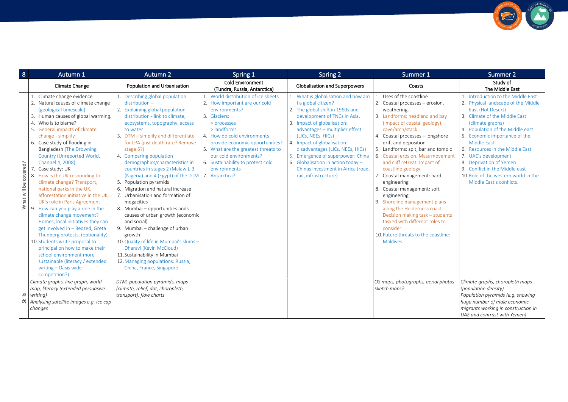| 8                     | Autumn 1                                                                                                                                                                                                                                                                                                                                                                                                                                                                                                                                                                                                                                                                                                                                                                                                                                                                    | Autumn 2                                                                                                                                                                                                                                                                                                                                                                                                                                                                                                                                                                                                                                                                                                                                                                                                                              | Spring 1                                                                                                                                                                                                                                                                                                                                        | Spring 2                                                                                                                                                                                                                                                                                                                                                                                                                           | Summer 1                                                                                                                                                                                                                                                                                                                                                                                                                                                                                                                                                                                                                                                                         | Summer 2                                                                                                                                                                                                                                                                                                                                                                                                                                   |
|-----------------------|-----------------------------------------------------------------------------------------------------------------------------------------------------------------------------------------------------------------------------------------------------------------------------------------------------------------------------------------------------------------------------------------------------------------------------------------------------------------------------------------------------------------------------------------------------------------------------------------------------------------------------------------------------------------------------------------------------------------------------------------------------------------------------------------------------------------------------------------------------------------------------|---------------------------------------------------------------------------------------------------------------------------------------------------------------------------------------------------------------------------------------------------------------------------------------------------------------------------------------------------------------------------------------------------------------------------------------------------------------------------------------------------------------------------------------------------------------------------------------------------------------------------------------------------------------------------------------------------------------------------------------------------------------------------------------------------------------------------------------|-------------------------------------------------------------------------------------------------------------------------------------------------------------------------------------------------------------------------------------------------------------------------------------------------------------------------------------------------|------------------------------------------------------------------------------------------------------------------------------------------------------------------------------------------------------------------------------------------------------------------------------------------------------------------------------------------------------------------------------------------------------------------------------------|----------------------------------------------------------------------------------------------------------------------------------------------------------------------------------------------------------------------------------------------------------------------------------------------------------------------------------------------------------------------------------------------------------------------------------------------------------------------------------------------------------------------------------------------------------------------------------------------------------------------------------------------------------------------------------|--------------------------------------------------------------------------------------------------------------------------------------------------------------------------------------------------------------------------------------------------------------------------------------------------------------------------------------------------------------------------------------------------------------------------------------------|
|                       | Climate Change                                                                                                                                                                                                                                                                                                                                                                                                                                                                                                                                                                                                                                                                                                                                                                                                                                                              | Population and Urbanisation                                                                                                                                                                                                                                                                                                                                                                                                                                                                                                                                                                                                                                                                                                                                                                                                           | <b>Cold Environment</b><br>(Tundra, Russia, Antarctica)                                                                                                                                                                                                                                                                                         | <b>Globalisation and Superpowers</b>                                                                                                                                                                                                                                                                                                                                                                                               | Coasts                                                                                                                                                                                                                                                                                                                                                                                                                                                                                                                                                                                                                                                                           | Study of<br>The Middle East                                                                                                                                                                                                                                                                                                                                                                                                                |
| What will be covered? | 1. Climate change evidence<br>2. Natural causes of climate change<br>(geological timescale)<br>3. Human causes of global warming.<br>4. Who is to blame?<br>5. General impacts of climate<br>change - simplify<br>6. Case study of flooding in<br>Bangladesh (The Drowning<br>Country (Unreported World,<br>Channel 4, 2008)<br>Case study: UK<br>8. How is the UK responding to<br>climate change? Transport,<br>national parks in the UK,<br>afforestation initiative in the UK,<br>UK's role in Paris Agreement<br>9. How can you play a role in the<br>climate change movement?<br>Homes, local initiatives they can<br>get involved in - Bedzed, Greta<br>Thunberg protests, (optionality)<br>10. Students write proposal to<br>principal on how to make their<br>school environment more<br>sustainable (literacy / extended<br>writing - Oasis wide<br>competition?) | 1. Describing global population<br>$distribution -$<br>2. Explaining global population<br>distribution - link to climate,<br>ecosystems, topography, access<br>to water<br>3. DTM - simplify and differentiate<br>for LPA (just death rate? Remove<br>stage $5$ ?)<br>4. Comparing population<br>demographics/characteristics in<br>countries in stages 2 (Malawi), 3<br>(Nigeria) and 4 (Egypt) of the DTM<br>5. Population pyramids<br>6. Migration and natural increase<br>7. Urbanisation and formation of<br>megacities<br>8. Mumbai - opportunities ands<br>causes of urban growth (economic<br>and social)<br>9. Mumbai - challenge of urban<br>growth<br>10. Quality of life in Mumbai's slums -<br>Dharavi (Kevin McCloud)<br>11. Sustainability in Mumbai<br>12. Managing populations: Russia,<br>China, France, Singapore. | 1. World distribution of ice sheets<br>2. How important are our cold<br>environments?<br>3. Glaciers:<br>> processes<br>$>$ landforms<br>4. How do cold environments<br>provide economic opportunities?<br>5. What are the greatest threats to<br>our cold environments?<br>6. Sustainability to protect cold<br>environments<br>7. Antarctica? | 1. What is globalisation and how am<br>I a global citizen?<br>2. The global shift in 1960s and<br>development of TNCs in Asia.<br>3. Impact of globalisation:<br>advantages - multiplier effect<br>(LICs, NEEs, HICs)<br>4. Impact of globalisation:<br>disadvantages (LICs, NEEs, HICs)<br>5. Emergence of superpower: China<br>6. Globalisation in action today -<br>Chinas investment in Africa (road,<br>rail. infrastructure) | 1. Uses of the coastline<br>2. Coastal processes - erosion,<br>weathering.<br>3. Landforms: headland and bay<br>(impact of coastal geology),<br>cave/arch/stack.<br>4. Coastal processes - longshore<br>drift and deposition.<br>5. Landforms: spit, bar and tomolo<br>6. Coastal erosion. Mass movement<br>and cliff retreat. Impact of<br>coastline geology.<br>7 <sub>1</sub><br>Coastal management: hard<br>engineering<br>8. Coastal management: soft<br>engineering<br>9. Shoreline management plans<br>along the Holderness coast.<br>Decision making task - students<br>tasked with different roles to<br>consider.<br>10. Future threats to the coastline:<br>Maldives. | 1. Introduction to the Middle East<br>2. Physical landscape of the Middle<br>East (Hot Desert)<br>3. Climate of the Middle East<br>(climate graphs)<br>4. Population of the Middle east<br>5. Economic importance of the<br><b>Middle East</b><br>6. Resources in the Middle East<br>7. UAE's development<br>8. Deprivation of Yemen<br>9. Conflict in the Middle east<br>10. Role of the western world in the<br>Middle East's conflicts. |
| Skills                | Climate graphs, line graph, world<br>map, literacy (extended persuasive<br>writing)<br>Analysing satellite images e.g. ice cap<br>changes                                                                                                                                                                                                                                                                                                                                                                                                                                                                                                                                                                                                                                                                                                                                   | DTM, population pyramids, maps<br>(climate, relief, dot, choropleth,<br>transport), flow charts                                                                                                                                                                                                                                                                                                                                                                                                                                                                                                                                                                                                                                                                                                                                       |                                                                                                                                                                                                                                                                                                                                                 |                                                                                                                                                                                                                                                                                                                                                                                                                                    | OS maps, photographs, aerial photos<br>Sketch maps?                                                                                                                                                                                                                                                                                                                                                                                                                                                                                                                                                                                                                              | Climate graphs, choropleth maps<br>(population density)<br>Population pyramids (e.g. showing<br>huge number of male economic<br>migrants working in construction in<br>UAE and contrast with Yemen)                                                                                                                                                                                                                                        |

**CONTRACTOR** SUPPRIGULARS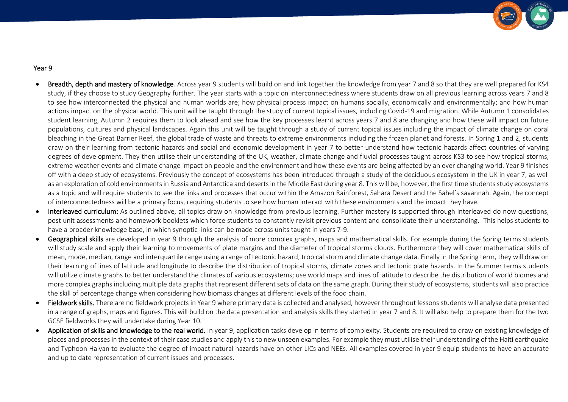

- Breadth, depth and mastery of knowledge. Across year 9 students will build on and link together the knowledge from year 7 and 8 so that they are well prepared for KS4 study, if they choose to study Geography further. The year starts with a topic on interconnectedness where students draw on all previous learning across years 7 and 8 to see how interconnected the physical and human worlds are; how physical process impact on humans socially, economically and environmentally; and how human actions impact on the physical world. This unit will be taught through the study of current topical issues, including Covid-19 and migration. While Autumn 1 consolidates student learning, Autumn 2 requires them to look ahead and see how the key processes learnt across years 7 and 8 are changing and how these will impact on future populations, cultures and physical landscapes. Again this unit will be taught through a study of current topical issues including the impact of climate change on coral bleaching in the Great Barrier Reef, the global trade of waste and threats to extreme environments including the frozen planet and forests. In Spring 1 and 2, students draw on their learning from tectonic hazards and social and economic development in year 7 to better understand how tectonic hazards affect countries of varying degrees of development. They then utilise their understanding of the UK, weather, climate change and fluvial processes taught across KS3 to see how tropical storms, extreme weather events and climate change impact on people and the environment and how these events are being affected by an ever changing world. Year 9 finishes off with a deep study of ecosystems. Previously the concept of ecosystems has been introduced through a study of the deciduous ecosystem in the UK in year 7, as well as an exploration of cold environments in Russia and Antarctica and deserts in the Middle East during year 8. This will be, however, the first time students study ecosystems as a topic and will require students to see the links and processes that occur within the Amazon Rainforest, Sahara Desert and the Sahel's savannah. Again, the concept of interconnectedness will be a primary focus, requiring students to see how human interact with these environments and the impact they have.
- Interleaved curriculum: As outlined above, all topics draw on knowledge from previous learning. Further mastery is supported through interleaved do now questions, post unit assessments and homework booklets which force students to constantly revisit previous content and consolidate their understanding. This helps students to have a broader knowledge base, in which synoptic links can be made across units taught in years 7-9.
- Geographical skills are developed in year 9 through the analysis of more complex graphs, maps and mathematical skills. For example during the Spring terms students will study scale and apply their learning to movements of plate margins and the diameter of tropical storms clouds. Furthermore they will cover mathematical skills of mean, mode, median, range and interquartile range using a range of tectonic hazard, tropical storm and climate change data. Finally in the Spring term, they will draw on their learning of lines of latitude and longitude to describe the distribution of tropical storms, climate zones and tectonic plate hazards. In the Summer terms students will utilize climate graphs to better understand the climates of various ecosystems; use world maps and lines of latitude to describe the distribution of world biomes and more complex graphs including multiple data graphs that represent different sets of data on the same graph. During their study of ecosystems, students will also practice the skill of percentage change when considering how biomass changes at different levels of the food chain.
- Fieldwork skills. There are no fieldwork projects in Year 9 where primary data is collected and analysed, however throughout lessons students will analyse data presented in a range of graphs, maps and figures. This will build on the data presentation and analysis skills they started in year 7 and 8. It will also help to prepare them for the two GCSE fieldworks they will undertake during Year 10.
- Application of skills and knowledge to the real world. In year 9, application tasks develop in terms of complexity. Students are required to draw on existing knowledge of places and processes in the context of their case studies and apply this to new unseen examples. For example they must utilise their understanding of the Haiti earthquake and Typhoon Haiyan to evaluate the degree of impact natural hazards have on other LICs and NEEs. All examples covered in year 9 equip students to have an accurate and up to date representation of current issues and processes.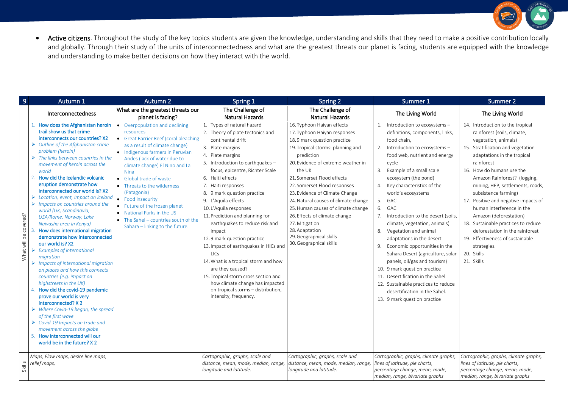

• Active citizens. Throughout the study of the key topics students are given the knowledge, understanding and skills that they need to make a positive contribution locally and globally. Through their study of the units of interconnectedness and what are the greatest threats our planet is facing, students are equipped with the knowledge and understanding to make better decisions on how they interact with the world.

| $\overline{9}$        | Autumn 1                                                                                                                                                                                                                                                                                                                                                                                                                                                                                                                                                                                                                                                                                                                                                                                                                                                                                                                                                                                                                                                                                                                                                                         | Autumn 2                                                                                                                                                                                                                                                                                                                                                                                                                                                                            | Spring 1                                                                                                                                                                                                                                                                                                                                                                                                                                                                                                                                                                                                                                                                                          | Spring 2                                                                                                                                                                                                                                                                                                                                                                                                                                                                                              | Summer 1                                                                                                                                                                                                                                                                                                                                                                                                                                                                                                                                                                                                                                                                                                                                                         | Summer 2                                                                                                                                                                                                                                                                                                                                                                                                                                                                                                                                                   |
|-----------------------|----------------------------------------------------------------------------------------------------------------------------------------------------------------------------------------------------------------------------------------------------------------------------------------------------------------------------------------------------------------------------------------------------------------------------------------------------------------------------------------------------------------------------------------------------------------------------------------------------------------------------------------------------------------------------------------------------------------------------------------------------------------------------------------------------------------------------------------------------------------------------------------------------------------------------------------------------------------------------------------------------------------------------------------------------------------------------------------------------------------------------------------------------------------------------------|-------------------------------------------------------------------------------------------------------------------------------------------------------------------------------------------------------------------------------------------------------------------------------------------------------------------------------------------------------------------------------------------------------------------------------------------------------------------------------------|---------------------------------------------------------------------------------------------------------------------------------------------------------------------------------------------------------------------------------------------------------------------------------------------------------------------------------------------------------------------------------------------------------------------------------------------------------------------------------------------------------------------------------------------------------------------------------------------------------------------------------------------------------------------------------------------------|-------------------------------------------------------------------------------------------------------------------------------------------------------------------------------------------------------------------------------------------------------------------------------------------------------------------------------------------------------------------------------------------------------------------------------------------------------------------------------------------------------|------------------------------------------------------------------------------------------------------------------------------------------------------------------------------------------------------------------------------------------------------------------------------------------------------------------------------------------------------------------------------------------------------------------------------------------------------------------------------------------------------------------------------------------------------------------------------------------------------------------------------------------------------------------------------------------------------------------------------------------------------------------|------------------------------------------------------------------------------------------------------------------------------------------------------------------------------------------------------------------------------------------------------------------------------------------------------------------------------------------------------------------------------------------------------------------------------------------------------------------------------------------------------------------------------------------------------------|
|                       | Interconnectedness                                                                                                                                                                                                                                                                                                                                                                                                                                                                                                                                                                                                                                                                                                                                                                                                                                                                                                                                                                                                                                                                                                                                                               | What are the greatest threats our<br>planet is facing?                                                                                                                                                                                                                                                                                                                                                                                                                              | The Challenge of<br><b>Natural Hazards</b>                                                                                                                                                                                                                                                                                                                                                                                                                                                                                                                                                                                                                                                        | The Challenge of<br><b>Natural Hazards</b>                                                                                                                                                                                                                                                                                                                                                                                                                                                            | The Living World                                                                                                                                                                                                                                                                                                                                                                                                                                                                                                                                                                                                                                                                                                                                                 | The Living World                                                                                                                                                                                                                                                                                                                                                                                                                                                                                                                                           |
| What will be covered? | How does the Afghanistan heroin<br>trail show us that crime<br>interconnects our countries? X2<br>$\triangleright$ Outline of the Afghanistan crime<br>problem (heroin)<br>$\triangleright$ The links between countries in the<br>movement of heroin across the<br>world<br>2. How did the Icelandic volcanic<br>eruption demonstrate how<br>interconnected our world is? X2<br>$\triangleright$ Location, event, Impact on Iceland<br>$\triangleright$ Impacts on countries around the<br>world (UK, Scandinavia,<br>USA/Rome, Norway, Lake<br>Naivasha area in Kenya)<br>How does international migration<br>demonstrate how interconnected<br>our world is? X2<br><b>Examples of international</b><br>migration<br>$\triangleright$ Impacts of international migration<br>on places and how this connects<br>countries (e.g. impact on<br>highstreets in the UK)<br>4. How did the covid-19 pandemic<br>prove our world is very<br>interconnected? X 2<br>$\triangleright$ Where Covid-19 began, the spread<br>of the first wave<br>$\triangleright$ Covid-19 Impacts on trade and<br>movement across the globe<br>How interconnected will our<br>world be in the future? X 2 | • Overpopulation and declining<br>resources<br>• Great Barrier Reef (coral bleaching<br>as a result of climate change)<br>• Indigenous farmers in Peruvian<br>Andes (lack of water due to<br>climate change) El Nino and La<br>Nina<br>• Global trade of waste<br>• Threats to the wilderness<br>(Patagonia)<br>• Food insecurity<br>• Future of the frozen planet<br>• National Parks in the US<br>$\bullet$ The Sahel - countries south of the<br>Sahara - linking to the future. | 1. Types of natural hazard<br>2. Theory of plate tectonics and<br>continental drift<br>3. Plate margins<br>4. Plate margins<br>5. Introduction to earthquakes -<br>focus, epicentre, Richter Scale<br>6. Haiti effects<br>7. Haiti responses<br>8. 9 mark question practice<br>9. L'Aquila effects<br>10. L'Aquila responses<br>11. Prediction and planning for<br>earthquakes to reduce risk and<br>impact<br>12.9 mark question practice<br>13. Impact of earthquakes in HICs and<br>LICs<br>14. What is a tropical storm and how<br>are they caused?<br>15. Tropical storm cross section and<br>how climate change has impacted<br>on tropical storms - distribution,<br>intensity, frequency. | 16. Typhoon Haiyan effects<br>17. Typhoon Haiyan responses<br>18.9 mark question practice<br>19. Tropical storms: planning and<br>prediction<br>20. Evidence of extreme weather in<br>the UK<br>21. Somerset Flood effects<br>22. Somerset Flood responses<br>23. Evidence of Climate Change<br>24. Natural causes of climate change<br>25. Human causes of climate change<br>26. Effects of climate change<br>27. Mitigation<br>28. Adaptation<br>29. Geographical skills<br>30. Geographical skills | Introduction to ecosystems -<br>1.<br>definitions, components, links,<br>food chain.<br>Introduction to ecosystems-<br>2.<br>food web, nutrient and energy<br>cycle<br>Example of a small scale<br>$\overline{3}$ .<br>ecosystem (the pond)<br>4.<br>Key characteristics of the<br>world's ecosystems<br>5.<br>GAC<br>6.<br>GAC<br>7.<br>Introduction to the desert (soils,<br>climate, vegetation, animals)<br>8.<br>Vegetation and animal<br>adaptations in the desert<br>9.<br>Economic opportunities in the<br>Sahara Desert (agriculture, solar<br>panels, oil/gas and tourism)<br>10. 9 mark question practice<br>11. Desertification in the Sahel<br>12. Sustainable practices to reduce<br>desertification in the Sahel.<br>13. 9 mark question practice | 14. Introduction to the tropical<br>rainforest (soils, climate,<br>vegetation, animals)<br>15. Stratification and vegetation<br>adaptations in the tropical<br>rainforest<br>16. How do humans use the<br>Amazon Rainforest? (logging,<br>mining, HEP, settlements, roads,<br>subsistence farming)<br>17. Positive and negative impacts of<br>human interference in the<br>Amazon (deforestation)<br>18. Sustainable practices to reduce<br>deforestation in the rainforest<br>19. Effectiveness of sustainable<br>strategies.<br>20. Skills<br>21. Skills |
| <b>Skills</b>         | Maps, Flow maps, desire line maps,<br>relief maps,                                                                                                                                                                                                                                                                                                                                                                                                                                                                                                                                                                                                                                                                                                                                                                                                                                                                                                                                                                                                                                                                                                                               |                                                                                                                                                                                                                                                                                                                                                                                                                                                                                     | Cartographic, graphs, scale and<br>distance, mean, mode, median, range,<br>longitude and latitude.                                                                                                                                                                                                                                                                                                                                                                                                                                                                                                                                                                                                | Cartographic, graphs, scale and<br>distance, mean, mode, median, range,<br>longitude and latitude.                                                                                                                                                                                                                                                                                                                                                                                                    | Cartographic, graphs, climate graphs,<br>lines of latitude, pie charts,<br>percentage change, mean, mode,<br>median, range, bivariate graphs                                                                                                                                                                                                                                                                                                                                                                                                                                                                                                                                                                                                                     | Cartographic, graphs, climate graphs,<br>lines of latitude, pie charts,<br>percentage change, mean, mode,<br>median, range, bivariate graphs                                                                                                                                                                                                                                                                                                                                                                                                               |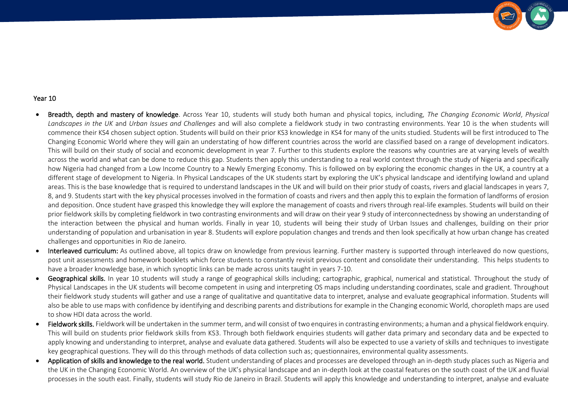

- Breadth, depth and mastery of knowledge. Across Year 10, students will study both human and physical topics, including, *The Changing Economic World*, *Physical Landscapes in the UK* and *Urban Issues and Challenges* and will also complete a fieldwork study in two contrasting environments. Year 10 is the when students will commence their KS4 chosen subject option. Students will build on their prior KS3 knowledge in KS4 for many of the units studied. Students will be first introduced to The Changing Economic World where they will gain an understating of how different countries across the world are classified based on a range of development indicators. This will build on their study of social and economic development in year 7. Further to this students explore the reasons why countries are at varying levels of wealth across the world and what can be done to reduce this gap. Students then apply this understanding to a real world context through the study of Nigeria and specifically how Nigeria had changed from a Low Income Country to a Newly Emerging Economy. This is followed on by exploring the economic changes in the UK, a country at a different stage of development to Nigeria. In Physical Landscapes of the UK students start by exploring the UK's physical landscape and identifying lowland and upland areas. This is the base knowledge that is required to understand landscapes in the UK and will build on their prior study of coasts, rivers and glacial landscapes in years 7, 8, and 9. Students start with the key physical processes involved in the formation of coasts and rivers and then apply this to explain the formation of landforms of erosion and deposition. Once student have grasped this knowledge they will explore the management of coasts and rivers through real-life examples. Students will build on their prior fieldwork skills by completing fieldwork in two contrasting environments and will draw on their year 9 study of interconnectedness by showing an understanding of the interaction between the physical and human worlds. Finally in year 10, students will being their study of Urban Issues and challenges, building on their prior understanding of population and urbanisation in year 8. Students will explore population changes and trends and then look specifically at how urban change has created challenges and opportunities in Rio de Janeiro.
- Interleaved curriculum: As outlined above, all topics draw on knowledge from previous learning. Further mastery is supported through interleaved do now questions, post unit assessments and homework booklets which force students to constantly revisit previous content and consolidate their understanding. This helps students to have a broader knowledge base, in which synoptic links can be made across units taught in years 7-10.
- Geographical skills. In year 10 students will study a range of geographical skills including; cartographic, graphical, numerical and statistical. Throughout the study of Physical Landscapes in the UK students will become competent in using and interpreting OS maps including understanding coordinates, scale and gradient. Throughout their fieldwork study students will gather and use a range of qualitative and quantitative data to interpret, analyse and evaluate geographical information. Students will also be able to use maps with confidence by identifying and describing parents and distributions for example in the Changing economic World, choropleth maps are used to show HDI data across the world.
- Fieldwork skills. Fieldwork will be undertaken in the summer term, and will consist of two enquires in contrasting environments; a human and a physical fieldwork enquiry. This will build on students prior fieldwork skills from KS3. Through both fieldwork enquiries students will gather data primary and secondary data and be expected to apply knowing and understanding to interpret, analyse and evaluate data gathered. Students will also be expected to use a variety of skills and techniques to investigate key geographical questions. They will do this through methods of data collection such as; questionnaires, environmental quality assessments.
- Application of skills and knowledge to the real world. Student understanding of places and processes are developed through an in-depth study places such as Nigeria and the UK in the Changing Economic World. An overview of the UK's physical landscape and an in-depth look at the coastal features on the south coast of the UK and fluvial processes in the south east. Finally, students will study Rio de Janeiro in Brazil. Students will apply this knowledge and understanding to interpret, analyse and evaluate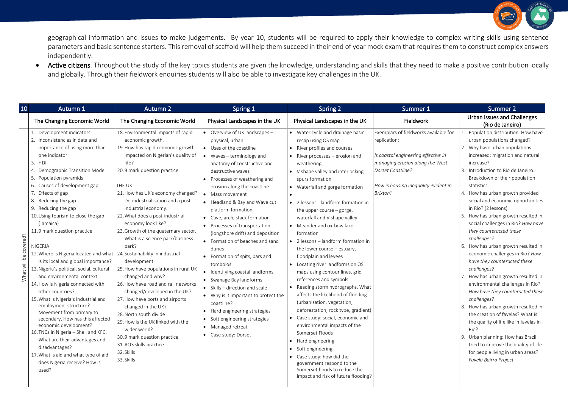

geographical information and issues to make judgements. By year 10, students will be required to apply their knowledge to complex writing skills using sentence parameters and basic sentence starters. This removal of scaffold will help them succeed in their end of year mock exam that requires them to construct complex answers independently.

• Active citizens. Throughout the study of the key topics students are given the knowledge, understanding and skills that they need to make a positive contribution locally and globally. Through their fieldwork enquiries students will also be able to investigate key challenges in the UK.

| 10                    | Autumn 1                                                                                                                                                                                                                                                                                                                                                                                                                                                                                                                                                                                                                                                                                                                                                                                                                                                                                                                                                                                 | <b>Autumn 2</b>                                                                                                                                                                                                                                                                                                                                                                                                                                                                                                                                                                                                                                                                                                                                                                                                | Spring 1                                                                                                                                                                                                                                                                                                                                                                                                                                                                                                                                                                                                                                                                                                                                                         | Spring 2                                                                                                                                                                                                                                                                                                                                                                                                                                                                                                                                                                                                                                                                                                                                                                                                                                                                                                                                                                                                                           | Summer 1                                                                                                                                                                                                 | Summer 2                                                                                                                                                                                                                                                                                                                                                                                                                                                                                                                                                                                                                                                                                                                                                                                                                                                                                                                                                                                         |
|-----------------------|------------------------------------------------------------------------------------------------------------------------------------------------------------------------------------------------------------------------------------------------------------------------------------------------------------------------------------------------------------------------------------------------------------------------------------------------------------------------------------------------------------------------------------------------------------------------------------------------------------------------------------------------------------------------------------------------------------------------------------------------------------------------------------------------------------------------------------------------------------------------------------------------------------------------------------------------------------------------------------------|----------------------------------------------------------------------------------------------------------------------------------------------------------------------------------------------------------------------------------------------------------------------------------------------------------------------------------------------------------------------------------------------------------------------------------------------------------------------------------------------------------------------------------------------------------------------------------------------------------------------------------------------------------------------------------------------------------------------------------------------------------------------------------------------------------------|------------------------------------------------------------------------------------------------------------------------------------------------------------------------------------------------------------------------------------------------------------------------------------------------------------------------------------------------------------------------------------------------------------------------------------------------------------------------------------------------------------------------------------------------------------------------------------------------------------------------------------------------------------------------------------------------------------------------------------------------------------------|------------------------------------------------------------------------------------------------------------------------------------------------------------------------------------------------------------------------------------------------------------------------------------------------------------------------------------------------------------------------------------------------------------------------------------------------------------------------------------------------------------------------------------------------------------------------------------------------------------------------------------------------------------------------------------------------------------------------------------------------------------------------------------------------------------------------------------------------------------------------------------------------------------------------------------------------------------------------------------------------------------------------------------|----------------------------------------------------------------------------------------------------------------------------------------------------------------------------------------------------------|--------------------------------------------------------------------------------------------------------------------------------------------------------------------------------------------------------------------------------------------------------------------------------------------------------------------------------------------------------------------------------------------------------------------------------------------------------------------------------------------------------------------------------------------------------------------------------------------------------------------------------------------------------------------------------------------------------------------------------------------------------------------------------------------------------------------------------------------------------------------------------------------------------------------------------------------------------------------------------------------------|
|                       | The Changing Economic World                                                                                                                                                                                                                                                                                                                                                                                                                                                                                                                                                                                                                                                                                                                                                                                                                                                                                                                                                              | The Changing Economic World                                                                                                                                                                                                                                                                                                                                                                                                                                                                                                                                                                                                                                                                                                                                                                                    | Physical Landscapes in the UK                                                                                                                                                                                                                                                                                                                                                                                                                                                                                                                                                                                                                                                                                                                                    | Physical Landscapes in the UK                                                                                                                                                                                                                                                                                                                                                                                                                                                                                                                                                                                                                                                                                                                                                                                                                                                                                                                                                                                                      | Fieldwork                                                                                                                                                                                                | Urban Issues and Challenges<br>(Rio de Janeiro)                                                                                                                                                                                                                                                                                                                                                                                                                                                                                                                                                                                                                                                                                                                                                                                                                                                                                                                                                  |
| What will be covered? | 1. Development indicators<br>2. Inconsistencies in data and<br>importance of using more than<br>one indicator<br>3. HDI<br>4. Demographic Transition Model<br>5. Population pyramids<br>6. Causes of development gap<br>7. Effects of gap<br>8. Reducing the gap<br>9. Reducing the gap<br>10. Using tourism to close the gap<br>(Jamaica)<br>11.9 mark question practice<br><b>NIGERIA</b><br>12. Where is Nigeria located and what   24. Sustainability in industrial<br>is its local and global importance?<br>13. Nigeria's political, social, cultural<br>and environmental context.<br>14. How is Nigeria connected with<br>other countries?<br>15. What is Nigeria's industrial and<br>employment structure?<br>Movement from primary to<br>secondary. How has this affected<br>economic development?<br>16. TNCs in Nigeria - Shell and KFC.<br>What are their advantages and<br>disadvantages?<br>17. What is aid and what type of aid<br>does Nigeria receive? How is<br>used? | 18. Environmental impacts of rapid<br>economic growth.<br>19. How has rapid economic growth<br>impacted on Nigerian's quality of<br>life?<br>20.9 mark question practice<br>THE UK<br>21. How has UK's economy changed?<br>De-industrialisation and a post-<br>industrial economy.<br>22. What does a post-industrial<br>economy look like?<br>23. Growth of the quaternary sector.<br>What is a science park/business<br>park?<br>development<br>25. How have populations in rural UK<br>changed and why?<br>26. How have road and rail networks<br>changed/developed in the UK?<br>27. How have ports and airports<br>changed in the UK?<br>28. North south divide<br>29. How is the UK linked with the<br>wider world?<br>30.9 mark question practice<br>31.AO3 skills practice<br>32. Skills<br>33. Skills | • Overview of UK landscapes -<br>physical, urban.<br>• Uses of the coastline<br>Waves - terminology and<br>anatomy of constructive and<br>destructive waves<br>Processes of weathering and<br>erosion along the coastline<br>Mass movement<br>• Headland & Bay and Wave cut<br>platform formation<br>• Cave, arch, stack formation<br>• Processes of transportation<br>(longshore drift) and deposition<br>• Formation of beaches and sand<br>dunes<br>• Formation of spits, bars and<br>tombolos<br>Identifying coastal landforms<br>• Swanage Bay landforms<br>• Skills - direction and scale<br>• Why is it important to protect the<br>coastline?<br>Hard engineering strategies<br>Soft engineering strategies<br>• Managed retreat<br>• Case study: Dorset | • Water cycle and drainage basin<br>recap using OS map<br>River profiles and courses<br>$\bullet$ River processes – erosion and<br>weathering<br>• V shape valley and interlocking<br>spurs formation<br>• Waterfall and gorge formation<br>• 2 lessons - landform formation in<br>the upper course $-$ gorge,<br>waterfall and V shape valley<br>• Meander and ox-bow lake<br>formation<br>• 2 lessons - landform formation in<br>the lower course - estuary,<br>floodplain and levees<br>• Locating river landforms on OS<br>maps using contour lines, grid<br>references and symbols<br>• Reading storm hydrographs. What<br>affects the likelihood of flooding<br>(urbanisation, vegetation,<br>deforestation, rock type, gradient)<br>• Case study: social, economic and<br>environmental impacts of the<br>Somerset Floods<br>Hard engineering<br>$\bullet$<br>Soft engineering<br>$\bullet$<br>Case study: how did the<br>government respond to the<br>Somerset floods to reduce the<br>impact and risk of future flooding? | Exemplars of fieldworks available for<br>replication:<br>Is coastal engineering effective in<br>managing erosion along the West<br>Dorset Coastline?<br>How is housing inequality evident in<br>Brixton? | 1. Population distribution. How have<br>urban populations changed?<br>2. Why have urban populations<br>increased: migration and natural<br>increase?<br>3. Introduction to Rio de Janeiro.<br>Breakdown of their population<br>statistics.<br>4. How has urban growth provided<br>social and economic opportunities<br>in Rio? (2 lessons)<br>5. How has urban growth resulted in<br>social challenges in Rio? How have<br>they counteracted these<br>challenges?<br>6. How has urban growth resulted in<br>economic challenges in Rio? How<br>have they counteracted these<br>challenges?<br>7. How has urban growth resulted in<br>environmental challenges in Rio?<br>How have they counteracted these<br>challenges?<br>8. How has urban growth resulted in<br>the creation of favelas? What is<br>the quality of life like in favelas in<br>Rio?<br>9. Urban planning: How has Brazil<br>tried to improve the quality of life<br>for people living in urban areas?<br>Favela Bairro Project |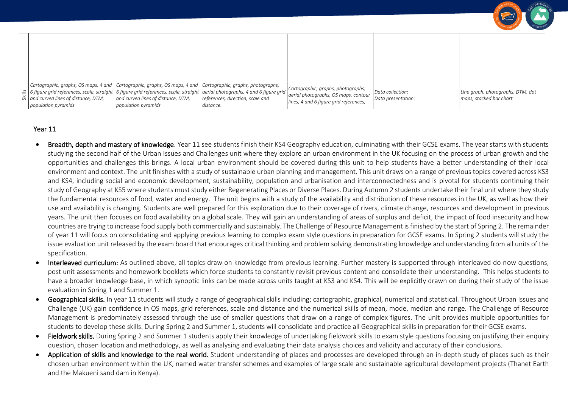|                                                                                                                                                                                                                                                                                                                                                                             |                     |           |                                                                                                                      |                                        | <b>UEOGRAPH</b>                                               |
|-----------------------------------------------------------------------------------------------------------------------------------------------------------------------------------------------------------------------------------------------------------------------------------------------------------------------------------------------------------------------------|---------------------|-----------|----------------------------------------------------------------------------------------------------------------------|----------------------------------------|---------------------------------------------------------------|
|                                                                                                                                                                                                                                                                                                                                                                             |                     |           |                                                                                                                      |                                        |                                                               |
| Cartographic, graphs, OS maps, 4 and Cartographic, graphs, OS maps, 4 and Cartographic, graphs, photographs,<br>  $\frac{8}{56}$   6 figure grid references, scale, straight   6 figure grid references, scale, straight   aerial photographs, 4 and 6 figure grid   $\frac{8}{56}$   and curved lines of distance, DTM,   and curved lines of dista<br>population pyramids | population pyramids | distance. | Cartographic, graphs, photographs,<br>aerial photographs, OS maps, contour<br>lines, 4 and 6 figure grid references, | Data collection:<br>Data presentation: | Line graph, photographs, DTM, dot<br>maps, stacked bar chart. |

- Breadth, depth and mastery of knowledge. Year 11 see students finish their KS4 Geography education, culminating with their GCSE exams. The year starts with students studying the second half of the Urban Issues and Challenges unit where they explore an urban environment in the UK focusing on the process of urban growth and the opportunities and challenges this brings. A local urban environment should be covered during this unit to help students have a better understanding of their local environment and context. The unit finishes with a study of sustainable urban planning and management. This unit draws on a range of previous topics covered across KS3 and KS4, including social and economic development, sustainability, population and urbanisation and interconnectedness and is pivotal for students continuing their study of Geography at KS5 where students must study either Regenerating Places or Diverse Places. During Autumn 2 students undertake their final unit where they study the fundamental resources of food, water and energy. The unit begins with a study of the availability and distribution of these resources in the UK, as well as how their use and availability is changing. Students are well prepared for this exploration due to their coverage of rivers, climate change, resources and development in previous years. The unit then focuses on food availability on a global scale. They will gain an understanding of areas of surplus and deficit, the impact of food insecurity and how countries are trying to increase food supply both commercially and sustainably. The Challenge of Resource Management is finished by the start of Spring 2. The remainder of year 11 will focus on consolidating and applying previous learning to complex exam style questions in preparation for GCSE exams. In Spring 2 students will study the issue evaluation unit released by the exam board that encourages critical thinking and problem solving demonstrating knowledge and understanding from all units of the specification.
- Interleaved curriculum: As outlined above, all topics draw on knowledge from previous learning. Further mastery is supported through interleaved do now questions, post unit assessments and homework booklets which force students to constantly revisit previous content and consolidate their understanding. This helps students to have a broader knowledge base, in which synoptic links can be made across units taught at KS3 and KS4. This will be explicitly drawn on during their study of the issue evaluation in Spring 1 and Summer 1.
- Geographical skills. In year 11 students will study a range of geographical skills including; cartographic, graphical, numerical and statistical. Throughout Urban Issues and Challenge (UK) gain confidence in OS maps, grid references, scale and distance and the numerical skills of mean, mode, median and range. The Challenge of Resource Management is predominately assessed through the use of smaller questions that draw on a range of complex figures. The unit provides multiple opportunities for students to develop these skills. During Spring 2 and Summer 1, students will consolidate and practice all Geographical skills in preparation for their GCSE exams.
- Fieldwork skills. During Spring 2 and Summer 1 students apply their knowledge of undertaking fieldwork skills to exam style questions focusing on justifying their enquiry question, chosen location and methodology, as well as analysing and evaluating their data analysis choices and validity and accuracy of their conclusions.
- Application of skills and knowledge to the real world. Student understanding of places and processes are developed through an in-depth study of places such as their chosen urban environment within the UK, named water transfer schemes and examples of large scale and sustainable agricultural development projects (Thanet Earth and the Makueni sand dam in Kenya).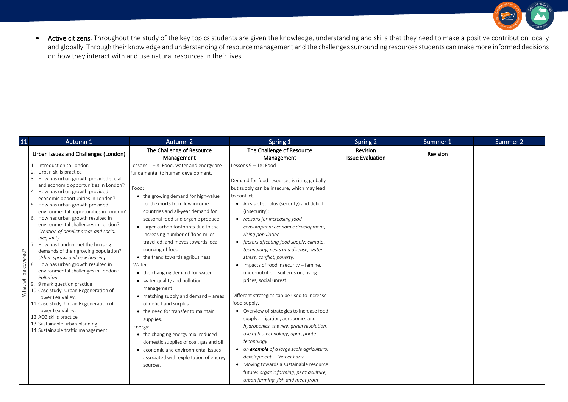

• Active citizens. Throughout the study of the key topics students are given the knowledge, understanding and skills that they need to make a positive contribution locally and globally. Through their knowledge and understanding of resource management and the challenges surrounding resources students can make more informed decisions on how they interact with and use natural resources in their lives.